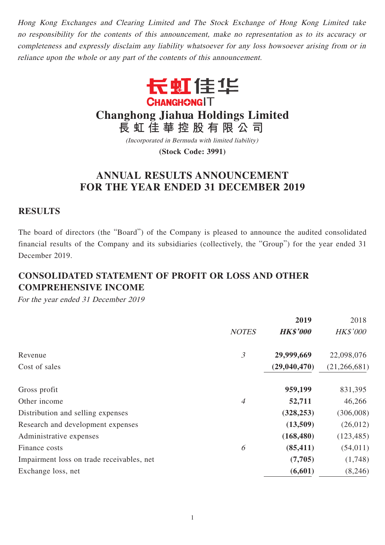Hong Kong Exchanges and Clearing Limited and The Stock Exchange of Hong Kong Limited take no responsibility for the contents of this announcement, make no representation as to its accuracy or completeness and expressly disclaim any liability whatsoever for any loss howsoever arising from or in reliance upon the whole or any part of the contents of this announcement.



**Changhong Jiahua Holdings Limited**

**長虹佳華控股有限公司**

(Incorporated in Bermuda with limited liability)

**(Stock Code: 3991)**

# **ANNUAL RESULTS ANNOUNCEMENT FOR THE YEAR ENDED 31 DECEMBER 2019**

### **RESULTS**

The board of directors (the "Board") of the Company is pleased to announce the audited consolidated financial results of the Company and its subsidiaries (collectively, the "Group") for the year ended 31 December 2019.

# **CONSOLIDATED STATEMENT OF PROFIT OR LOSS AND OTHER COMPREHENSIVE INCOME**

For the year ended 31 December 2019

| <b>HK\$'000</b><br>29,999,669<br>(29,040,470) | <b>HK\$'000</b><br>22,098,076 |
|-----------------------------------------------|-------------------------------|
|                                               |                               |
|                                               |                               |
|                                               | (21,266,681)                  |
| 959,199                                       | 831,395                       |
| 52,711                                        | 46,266                        |
| (328, 253)                                    | (306,008)                     |
| (13,509)                                      | (26, 012)                     |
| (168, 480)                                    | (123, 485)                    |
| (85, 411)                                     | (54, 011)                     |
| (7,705)                                       | (1,748)                       |
| (6,601)                                       | (8,246)                       |
|                                               |                               |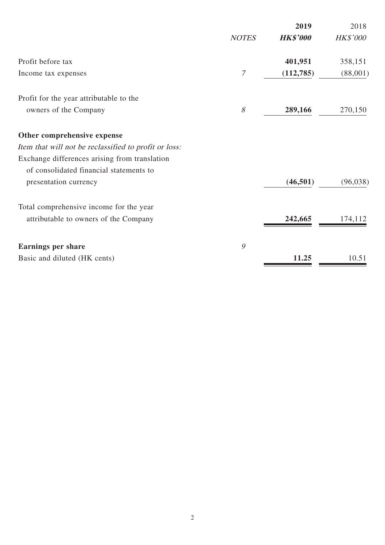|                                                       |              | 2019            | 2018            |
|-------------------------------------------------------|--------------|-----------------|-----------------|
|                                                       | <b>NOTES</b> | <b>HK\$'000</b> | <b>HK\$'000</b> |
| Profit before tax                                     |              | 401,951         | 358,151         |
| Income tax expenses                                   | 7            | (112, 785)      | (88,001)        |
| Profit for the year attributable to the               |              |                 |                 |
| owners of the Company                                 | 8            | 289,166         | 270,150         |
| Other comprehensive expense                           |              |                 |                 |
| Item that will not be reclassified to profit or loss: |              |                 |                 |
| Exchange differences arising from translation         |              |                 |                 |
| of consolidated financial statements to               |              |                 |                 |
| presentation currency                                 |              | (46, 501)       | (96,038)        |
| Total comprehensive income for the year               |              |                 |                 |
| attributable to owners of the Company                 |              | 242,665         | 174,112         |
| <b>Earnings per share</b>                             | 9            |                 |                 |
| Basic and diluted (HK cents)                          |              | 11.25           | 10.51           |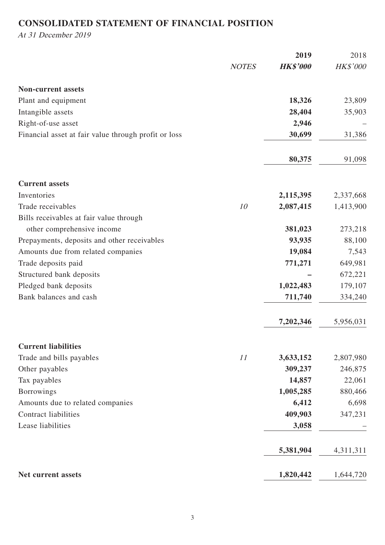# **CONSOLIDATED STATEMENT OF FINANCIAL POSITION**

At 31 December 2019

|                                                      |              | 2019            | 2018       |
|------------------------------------------------------|--------------|-----------------|------------|
|                                                      | <b>NOTES</b> | <b>HK\$'000</b> | $HK\$ '000 |
| <b>Non-current assets</b>                            |              |                 |            |
| Plant and equipment                                  |              | 18,326          | 23,809     |
| Intangible assets                                    |              | 28,404          | 35,903     |
| Right-of-use asset                                   |              | 2,946           |            |
| Financial asset at fair value through profit or loss |              | 30,699          | 31,386     |
|                                                      |              | 80,375          | 91,098     |
| <b>Current assets</b>                                |              |                 |            |
| Inventories                                          |              | 2,115,395       | 2,337,668  |
| Trade receivables                                    | 10           | 2,087,415       | 1,413,900  |
| Bills receivables at fair value through              |              |                 |            |
| other comprehensive income                           |              | 381,023         | 273,218    |
| Prepayments, deposits and other receivables          |              | 93,935          | 88,100     |
| Amounts due from related companies                   |              | 19,084          | 7,543      |
| Trade deposits paid                                  |              | 771,271         | 649,981    |
| Structured bank deposits                             |              |                 | 672,221    |
| Pledged bank deposits                                |              | 1,022,483       | 179,107    |
| Bank balances and cash                               |              | 711,740         | 334,240    |
|                                                      |              | 7,202,346       | 5,956,031  |
| <b>Current liabilities</b>                           |              |                 |            |
| Trade and bills payables                             | 11           | 3,633,152       | 2,807,980  |
| Other payables                                       |              | 309,237         | 246,875    |
| Tax payables                                         |              | 14,857          | 22,061     |
| <b>Borrowings</b>                                    |              | 1,005,285       | 880,466    |
| Amounts due to related companies                     |              | 6,412           | 6,698      |
| <b>Contract liabilities</b>                          |              | 409,903         | 347,231    |
| Lease liabilities                                    |              | 3,058           |            |
|                                                      |              | 5,381,904       | 4,311,311  |
| Net current assets                                   |              | 1,820,442       | 1,644,720  |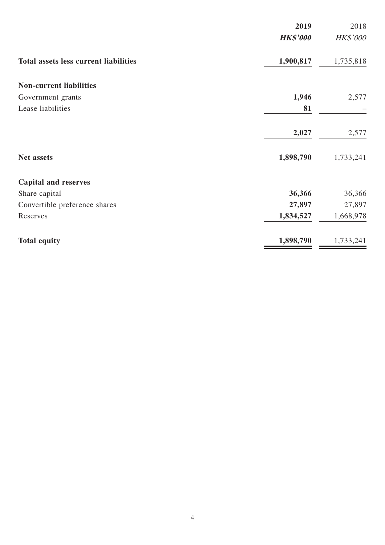| 2019                                                      | 2018      |
|-----------------------------------------------------------|-----------|
| <b>HK\$'000</b>                                           | HK\$'000  |
| 1,900,817<br><b>Total assets less current liabilities</b> | 1,735,818 |
| <b>Non-current liabilities</b>                            |           |
| 1,946<br>Government grants                                | 2,577     |
| Lease liabilities<br>81                                   |           |
| 2,027                                                     | 2,577     |
| 1,898,790<br>Net assets                                   | 1,733,241 |
| <b>Capital and reserves</b>                               |           |
| 36,366<br>Share capital                                   | 36,366    |
| 27,897<br>Convertible preference shares                   | 27,897    |
| 1,834,527<br>Reserves                                     | 1,668,978 |
| 1,898,790<br><b>Total equity</b>                          | 1,733,241 |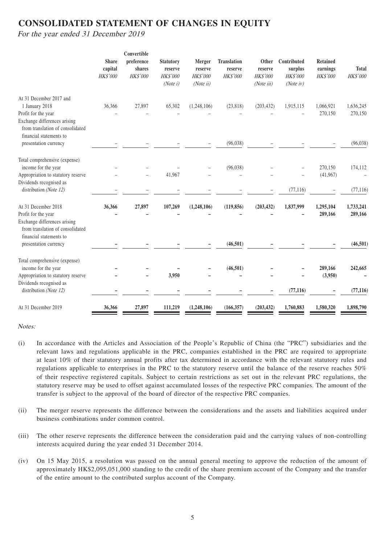## **CONSOLIDATED STATEMENT OF CHANGES IN EQUITY**

For the year ended 31 December 2019

|                                                                                                                      | <b>Share</b><br>capital<br>HK\$'000 | Convertible<br>preference<br>shares<br><b>HK\$'000</b> | <b>Statutory</b><br>reserve<br><b>HK\$'000</b><br>(Note i) | Merger<br>reserve<br><b>HK\$'000</b><br>(Noteii) | <b>Translation</b><br>reserve<br>HK\$'000 | Other<br>reserve<br>HK\$'000<br>(Noteiii) | Contributed<br>surplus<br><b>HK\$'000</b><br>(Note $iv$ ) | <b>Retained</b><br>earnings<br>HK\$'000 | <b>Total</b><br>HK\$'000 |
|----------------------------------------------------------------------------------------------------------------------|-------------------------------------|--------------------------------------------------------|------------------------------------------------------------|--------------------------------------------------|-------------------------------------------|-------------------------------------------|-----------------------------------------------------------|-----------------------------------------|--------------------------|
| At 31 December 2017 and<br>1 January 2018<br>Profit for the year                                                     | 36,366                              | 27,897                                                 | 65,302                                                     | (1, 248, 106)                                    | (23, 818)                                 | (203, 432)                                | 1,915,115                                                 | 1,066,921<br>270,150                    | 1,636,245<br>270,150     |
| Exchange differences arising<br>from translation of consolidated<br>financial statements to<br>presentation currency |                                     |                                                        |                                                            |                                                  | (96, 038)                                 |                                           |                                                           |                                         | (96, 038)                |
| Total comprehensive (expense)                                                                                        |                                     |                                                        |                                                            |                                                  |                                           |                                           |                                                           |                                         |                          |
| income for the year<br>Appropriation to statutory reserve<br>Dividends recognised as                                 |                                     |                                                        | 41,967                                                     |                                                  | (96,038)                                  |                                           |                                                           | 270,150<br>(41,967)                     | 174,112                  |
| distribution (Note 12)                                                                                               |                                     |                                                        |                                                            |                                                  |                                           |                                           | (77, 116)                                                 |                                         | (77, 116)                |
| At 31 December 2018<br>Profit for the year<br>Exchange differences arising<br>from translation of consolidated       | 36,366                              | 27,897                                                 | 107,269                                                    | (1,248,106)                                      | (119, 856)                                | (203, 432)                                | 1,837,999                                                 | 1,295,104<br>289,166                    | 1,733,241<br>289,166     |
| financial statements to<br>presentation currency                                                                     |                                     |                                                        |                                                            |                                                  | (46,501)                                  |                                           |                                                           |                                         | (46, 501)                |
| Total comprehensive (expense)<br>income for the year<br>Appropriation to statutory reserve                           |                                     |                                                        | 3,950                                                      |                                                  | (46, 501)                                 |                                           |                                                           | 289,166<br>(3,950)                      | 242,665                  |
| Dividends recognised as<br>distribution (Note 12)                                                                    |                                     |                                                        |                                                            |                                                  |                                           |                                           | (77, 116)                                                 |                                         | (77, 116)                |
| At 31 December 2019                                                                                                  | 36,366                              | 27,897                                                 | 111,219                                                    | (1,248,106)                                      | (166, 357)                                | (203, 432)                                | 1,760,883                                                 | 1,580,320                               | 1,898,790                |

#### Notes:

- (i) In accordance with the Articles and Association of the People's Republic of China (the "PRC") subsidiaries and the relevant laws and regulations applicable in the PRC, companies established in the PRC are required to appropriate at least 10% of their statutory annual profits after tax determined in accordance with the relevant statutory rules and regulations applicable to enterprises in the PRC to the statutory reserve until the balance of the reserve reaches 50% of their respective registered capitals. Subject to certain restrictions as set out in the relevant PRC regulations, the statutory reserve may be used to offset against accumulated losses of the respective PRC companies. The amount of the transfer is subject to the approval of the board of director of the respective PRC companies.
- (ii) The merger reserve represents the difference between the considerations and the assets and liabilities acquired under business combinations under common control.
- (iii) The other reserve represents the difference between the consideration paid and the carrying values of non-controlling interests acquired during the year ended 31 December 2014.
- (iv) On 15 May 2015, a resolution was passed on the annual general meeting to approve the reduction of the amount of approximately HK\$2,095,051,000 standing to the credit of the share premium account of the Company and the transfer of the entire amount to the contributed surplus account of the Company.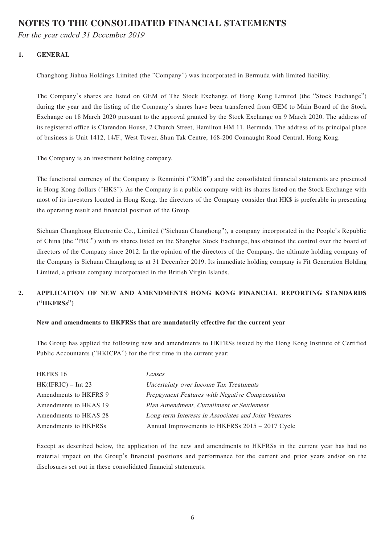### **NOTES TO THE CONSOLIDATED FINANCIAL STATEMENTS**

For the year ended 31 December 2019

#### **1. GENERAL**

Changhong Jiahua Holdings Limited (the "Company") was incorporated in Bermuda with limited liability.

The Company's shares are listed on GEM of The Stock Exchange of Hong Kong Limited (the "Stock Exchange") during the year and the listing of the Company's shares have been transferred from GEM to Main Board of the Stock Exchange on 18 March 2020 pursuant to the approval granted by the Stock Exchange on 9 March 2020. The address of its registered office is Clarendon House, 2 Church Street, Hamilton HM 11, Bermuda. The address of its principal place of business is Unit 1412, 14/F., West Tower, Shun Tak Centre, 168-200 Connaught Road Central, Hong Kong.

The Company is an investment holding company.

The functional currency of the Company is Renminbi ("RMB") and the consolidated financial statements are presented in Hong Kong dollars ("HK\$"). As the Company is a public company with its shares listed on the Stock Exchange with most of its investors located in Hong Kong, the directors of the Company consider that HK\$ is preferable in presenting the operating result and financial position of the Group.

Sichuan Changhong Electronic Co., Limited ("Sichuan Changhong"), a company incorporated in the People's Republic of China (the "PRC") with its shares listed on the Shanghai Stock Exchange, has obtained the control over the board of directors of the Company since 2012. In the opinion of the directors of the Company, the ultimate holding company of the Company is Sichuan Changhong as at 31 December 2019. Its immediate holding company is Fit Generation Holding Limited, a private company incorporated in the British Virgin Islands.

### **2. APPLICATION OF NEW AND AMENDMENTS HONG KONG FINANCIAL REPORTING STANDARDS ("HKFRSs")**

#### **New and amendments to HKFRSs that are mandatorily effective for the current year**

The Group has applied the following new and amendments to HKFRSs issued by the Hong Kong Institute of Certified Public Accountants ("HKICPA") for the first time in the current year:

| HKFRS 16              | Leases                                               |
|-----------------------|------------------------------------------------------|
| $HK(IFRIC) - Int 23$  | Uncertainty over Income Tax Treatments               |
| Amendments to HKFRS 9 | Prepayment Features with Negative Compensation       |
| Amendments to HKAS 19 | Plan Amendment, Curtailment or Settlement            |
| Amendments to HKAS 28 | Long-term Interests in Associates and Joint Ventures |
| Amendments to HKFRSs  | Annual Improvements to HKFRSs 2015 - 2017 Cycle      |

Except as described below, the application of the new and amendments to HKFRSs in the current year has had no material impact on the Group's financial positions and performance for the current and prior years and/or on the disclosures set out in these consolidated financial statements.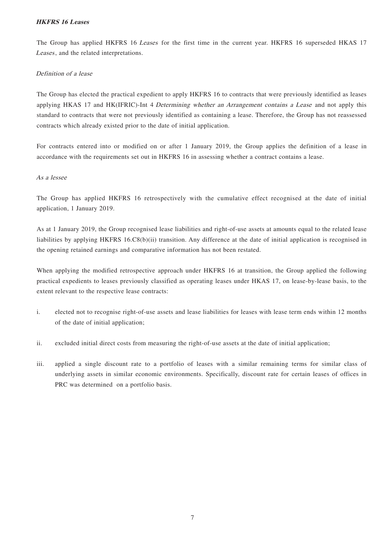#### **HKFRS 16 Leases**

The Group has applied HKFRS 16 Leases for the first time in the current year. HKFRS 16 superseded HKAS 17 Leases, and the related interpretations.

#### Definition of a lease

The Group has elected the practical expedient to apply HKFRS 16 to contracts that were previously identified as leases applying HKAS 17 and HK(IFRIC)-Int 4 Determining whether an Arrangement contains a Lease and not apply this standard to contracts that were not previously identified as containing a lease. Therefore, the Group has not reassessed contracts which already existed prior to the date of initial application.

For contracts entered into or modified on or after 1 January 2019, the Group applies the definition of a lease in accordance with the requirements set out in HKFRS 16 in assessing whether a contract contains a lease.

#### As a lessee

The Group has applied HKFRS 16 retrospectively with the cumulative effect recognised at the date of initial application, 1 January 2019.

As at 1 January 2019, the Group recognised lease liabilities and right-of-use assets at amounts equal to the related lease liabilities by applying HKFRS 16.C8(b)(ii) transition. Any difference at the date of initial application is recognised in the opening retained earnings and comparative information has not been restated.

When applying the modified retrospective approach under HKFRS 16 at transition, the Group applied the following practical expedients to leases previously classified as operating leases under HKAS 17, on lease-by-lease basis, to the extent relevant to the respective lease contracts:

- i. elected not to recognise right-of-use assets and lease liabilities for leases with lease term ends within 12 months of the date of initial application;
- ii. excluded initial direct costs from measuring the right-of-use assets at the date of initial application;
- iii. applied a single discount rate to a portfolio of leases with a similar remaining terms for similar class of underlying assets in similar economic environments. Specifically, discount rate for certain leases of offices in PRC was determined on a portfolio basis.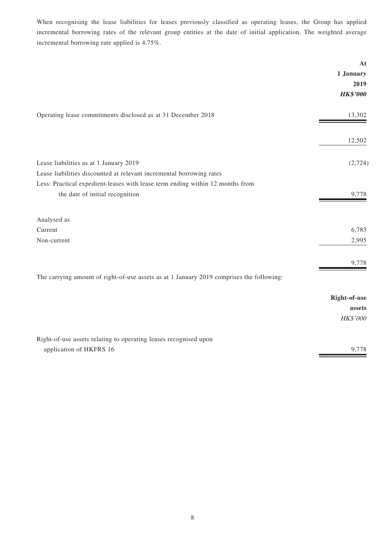When recognising the lease liabilities for leases previously classified as operating leases, the Group has applied incremental borrowing rates of the relevant group entities at the date of initial application. The weighted average incremental borrowing rate applied is 4.75%.

|                                                                                                                  | At<br>1 January<br>2019<br><b>HK\$'000</b> |
|------------------------------------------------------------------------------------------------------------------|--------------------------------------------|
| Operating lease commitments disclosed as at 31 December 2018                                                     | 13,302                                     |
|                                                                                                                  | 12,502                                     |
| Lease liabilities as at 1 January 2019<br>Lease liabilities discounted at relevant incremental borrowing rates   | (2,724)                                    |
| Less: Practical expedient-leases with lease term ending within 12 months from<br>the date of initial recognition | 9,778                                      |
| Analysed as                                                                                                      |                                            |
| Current                                                                                                          | 6,783                                      |
| Non-current                                                                                                      | 2,995                                      |
|                                                                                                                  | 9,778                                      |
| The carrying amount of right-of-use assets as at 1 January 2019 comprises the following:                         |                                            |
|                                                                                                                  | Right-of-use                               |
|                                                                                                                  | assets                                     |
|                                                                                                                  | HK\$'000                                   |
| Right-of-use assets relating to operating leases recognised upon                                                 |                                            |
| application of HKFRS 16                                                                                          | 9,778                                      |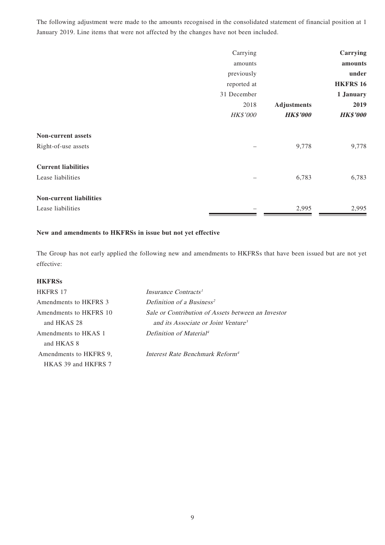The following adjustment were made to the amounts recognised in the consolidated statement of financial position at 1 January 2019. Line items that were not affected by the changes have not been included.

|                                | Carrying    |                    | Carrying        |
|--------------------------------|-------------|--------------------|-----------------|
|                                | amounts     |                    | amounts         |
|                                | previously  |                    | under           |
|                                | reported at |                    | <b>HKFRS 16</b> |
|                                | 31 December |                    | 1 January       |
|                                | 2018        | <b>Adjustments</b> | 2019            |
|                                | HK\$'000    | <b>HK\$'000</b>    | <b>HK\$'000</b> |
| <b>Non-current assets</b>      |             |                    |                 |
| Right-of-use assets            |             | 9,778              | 9,778           |
| <b>Current liabilities</b>     |             |                    |                 |
| Lease liabilities              |             | 6,783              | 6,783           |
| <b>Non-current liabilities</b> |             |                    |                 |
| Lease liabilities              |             | 2,995              | 2,995           |

#### **New and amendments to HKFRSs in issue but not yet effective**

The Group has not early applied the following new and amendments to HKFRSs that have been issued but are not yet effective:

#### **HKFRSs**

| HKFRS 17               | Insurance Contracts <sup>1</sup>                   |
|------------------------|----------------------------------------------------|
| Amendments to HKFRS 3  | Definition of a Business <sup>2</sup>              |
| Amendments to HKFRS 10 | Sale or Contribution of Assets between an Investor |
| and HKAS 28            | and its Associate or Joint Venture <sup>3</sup>    |
| Amendments to HKAS 1   | Definition of Material <sup>4</sup>                |
| and HKAS 8             |                                                    |
| Amendments to HKFRS 9. | Interest Rate Benchmark Reform <sup>4</sup>        |
| HKAS 39 and HKFRS 7    |                                                    |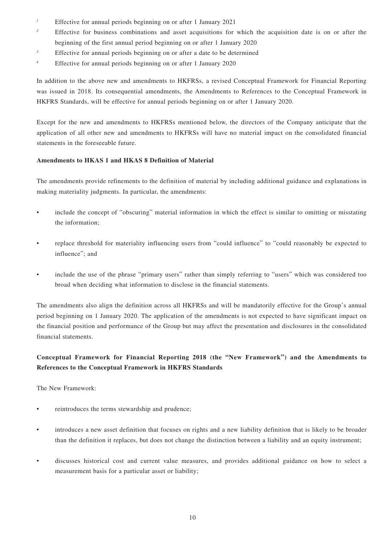- <sup>1</sup> Effective for annual periods beginning on or after 1 January 2021
- <sup>2</sup> Effective for business combinations and asset acquisitions for which the acquisition date is on or after the beginning of the first annual period beginning on or after 1 January 2020
- $3$  Effective for annual periods beginning on or after a date to be determined
- <sup>4</sup> Effective for annual periods beginning on or after 1 January 2020

In addition to the above new and amendments to HKFRSs, a revised Conceptual Framework for Financial Reporting was issued in 2018. Its consequential amendments, the Amendments to References to the Conceptual Framework in HKFRS Standards, will be effective for annual periods beginning on or after 1 January 2020.

Except for the new and amendments to HKFRSs mentioned below, the directors of the Company anticipate that the application of all other new and amendments to HKFRSs will have no material impact on the consolidated financial statements in the foreseeable future.

#### **Amendments to HKAS 1 and HKAS 8 Definition of Material**

The amendments provide refinements to the definition of material by including additional guidance and explanations in making materiality judgments. In particular, the amendments:

- include the concept of "obscuring" material information in which the effect is similar to omitting or misstating the information;
- replace threshold for materiality influencing users from "could influence" to "could reasonably be expected to influence"; and
- include the use of the phrase "primary users" rather than simply referring to "users" which was considered too broad when deciding what information to disclose in the financial statements.

The amendments also align the definition across all HKFRSs and will be mandatorily effective for the Group's annual period beginning on 1 January 2020. The application of the amendments is not expected to have significant impact on the financial position and performance of the Group but may affect the presentation and disclosures in the consolidated financial statements.

#### **Conceptual Framework for Financial Reporting 2018 (the "New Framework") and the Amendments to References to the Conceptual Framework in HKFRS Standards**

The New Framework:

- reintroduces the terms stewardship and prudence:
- introduces a new asset definition that focuses on rights and a new liability definition that is likely to be broader than the definition it replaces, but does not change the distinction between a liability and an equity instrument;
- discusses historical cost and current value measures, and provides additional guidance on how to select a measurement basis for a particular asset or liability;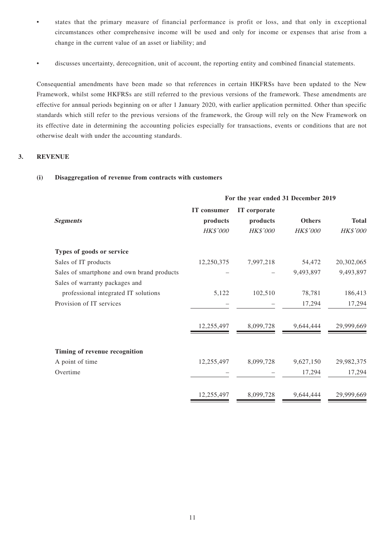- states that the primary measure of financial performance is profit or loss, and that only in exceptional circumstances other comprehensive income will be used and only for income or expenses that arise from a change in the current value of an asset or liability; and
- discusses uncertainty, derecognition, unit of account, the reporting entity and combined financial statements.

Consequential amendments have been made so that references in certain HKFRSs have been updated to the New Framework, whilst some HKFRSs are still referred to the previous versions of the framework. These amendments are effective for annual periods beginning on or after 1 January 2020, with earlier application permitted. Other than specific standards which still refer to the previous versions of the framework, the Group will rely on the New Framework on its effective date in determining the accounting policies especially for transactions, events or conditions that are not otherwise dealt with under the accounting standards.

#### **3. REVENUE**

#### **(i) Disaggregation of revenue from contracts with customers**

|                                            | For the year ended 31 December 2019 |                 |                 |              |
|--------------------------------------------|-------------------------------------|-----------------|-----------------|--------------|
|                                            | IT consumer                         | IT corporate    |                 |              |
| <b>Segments</b>                            | products                            | products        | Others          | <b>Total</b> |
|                                            | HK\$'000                            | <b>HK\$'000</b> | <b>HK\$'000</b> | HK\$'000     |
| Types of goods or service                  |                                     |                 |                 |              |
| Sales of IT products                       | 12,250,375                          | 7,997,218       | 54,472          | 20,302,065   |
| Sales of smartphone and own brand products |                                     |                 | 9,493,897       | 9,493,897    |
| Sales of warranty packages and             |                                     |                 |                 |              |
| professional integrated IT solutions       | 5,122                               | 102,510         | 78,781          | 186,413      |
| Provision of IT services                   |                                     |                 | 17,294          | 17,294       |
|                                            | 12,255,497                          | 8,099,728       | 9,644,444       | 29,999,669   |
| Timing of revenue recognition              |                                     |                 |                 |              |
| A point of time                            | 12,255,497                          | 8,099,728       | 9,627,150       | 29,982,375   |
| Overtime                                   |                                     |                 | 17,294          | 17,294       |
|                                            | 12,255,497                          | 8,099,728       | 9,644,444       | 29,999,669   |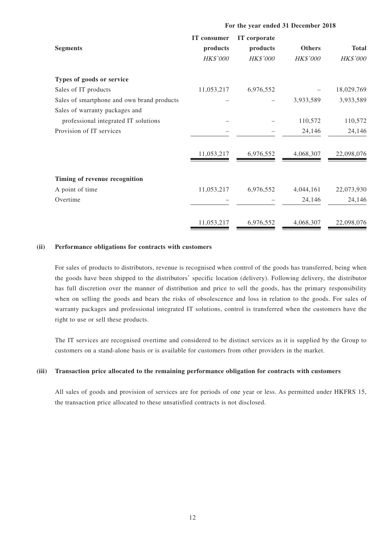| <b>Segments</b>                            | IT consumer<br>products<br><b>HK\$'000</b> | IT corporate<br>products<br><b>HK\$'000</b> | <b>Others</b><br><b>HK\$'000</b> | <b>Total</b><br>HK\$'000 |
|--------------------------------------------|--------------------------------------------|---------------------------------------------|----------------------------------|--------------------------|
| Types of goods or service                  |                                            |                                             |                                  |                          |
| Sales of IT products                       | 11,053,217                                 | 6,976,552                                   |                                  | 18,029,769               |
| Sales of smartphone and own brand products |                                            |                                             | 3,933,589                        | 3,933,589                |
| Sales of warranty packages and             |                                            |                                             |                                  |                          |
| professional integrated IT solutions       |                                            |                                             | 110,572                          | 110,572                  |
| Provision of IT services                   |                                            |                                             | 24,146                           | 24,146                   |
|                                            | 11,053,217                                 | 6,976,552                                   | 4,068,307                        | 22,098,076               |
| Timing of revenue recognition              |                                            |                                             |                                  |                          |
| A point of time                            | 11,053,217                                 | 6,976,552                                   | 4,044,161                        | 22,073,930               |
| Overtime                                   |                                            |                                             | 24,146                           | 24,146                   |
|                                            | 11,053,217                                 | 6,976,552                                   | 4,068,307                        | 22,098,076               |

**For the year ended 31 December 2018**

#### **(ii) Performance obligations for contracts with customers**

For sales of products to distributors, revenue is recognised when control of the goods has transferred, being when the goods have been shipped to the distributors' specific location (delivery). Following delivery, the distributor has full discretion over the manner of distribution and price to sell the goods, has the primary responsibility when on selling the goods and bears the risks of obsolescence and loss in relation to the goods. For sales of warranty packages and professional integrated IT solutions, control is transferred when the customers have the right to use or sell these products.

The IT services are recognised overtime and considered to be distinct services as it is supplied by the Group to customers on a stand-alone basis or is available for customers from other providers in the market.

#### **(iii) Transaction price allocated to the remaining performance obligation for contracts with customers**

All sales of goods and provision of services are for periods of one year or less. As permitted under HKFRS 15, the transaction price allocated to these unsatisfied contracts is not disclosed.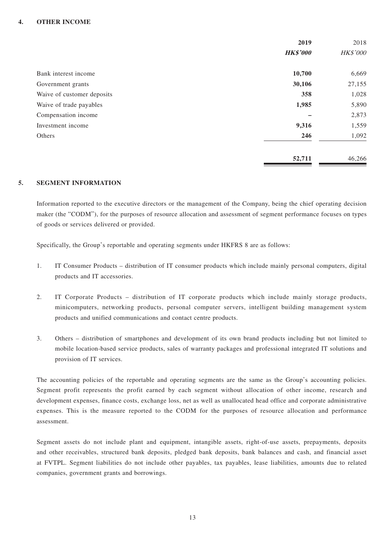#### **4. OTHER INCOME**

|                            | 2019            | 2018     |
|----------------------------|-----------------|----------|
|                            | <b>HK\$'000</b> | HK\$'000 |
| Bank interest income       | 10,700          | 6,669    |
| Government grants          | 30,106          | 27,155   |
| Waive of customer deposits | 358             | 1,028    |
| Waive of trade payables    | 1,985           | 5,890    |
| Compensation income        |                 | 2,873    |
| Investment income          | 9,316           | 1,559    |
| Others                     | 246             | 1,092    |
|                            | 52,711          | 46,266   |

#### **5. SEGMENT INFORMATION**

Information reported to the executive directors or the management of the Company, being the chief operating decision maker (the "CODM"), for the purposes of resource allocation and assessment of segment performance focuses on types of goods or services delivered or provided.

Specifically, the Group's reportable and operating segments under HKFRS 8 are as follows:

- 1. IT Consumer Products distribution of IT consumer products which include mainly personal computers, digital products and IT accessories.
- 2. IT Corporate Products distribution of IT corporate products which include mainly storage products, minicomputers, networking products, personal computer servers, intelligent building management system products and unified communications and contact centre products.
- 3. Others distribution of smartphones and development of its own brand products including but not limited to mobile location-based service products, sales of warranty packages and professional integrated IT solutions and provision of IT services.

The accounting policies of the reportable and operating segments are the same as the Group's accounting policies. Segment profit represents the profit earned by each segment without allocation of other income, research and development expenses, finance costs, exchange loss, net as well as unallocated head office and corporate administrative expenses. This is the measure reported to the CODM for the purposes of resource allocation and performance assessment.

Segment assets do not include plant and equipment, intangible assets, right-of-use assets, prepayments, deposits and other receivables, structured bank deposits, pledged bank deposits, bank balances and cash, and financial asset at FVTPL. Segment liabilities do not include other payables, tax payables, lease liabilities, amounts due to related companies, government grants and borrowings.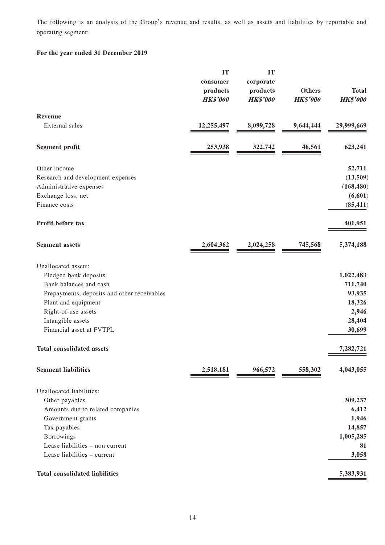The following is an analysis of the Group's revenue and results, as well as assets and liabilities by reportable and operating segment:

#### **For the year ended 31 December 2019**

|                                             | IT              | IT              |                 |                 |
|---------------------------------------------|-----------------|-----------------|-----------------|-----------------|
|                                             | consumer        | corporate       |                 |                 |
|                                             | products        | products        | <b>Others</b>   | <b>Total</b>    |
|                                             | <b>HK\$'000</b> | <b>HK\$'000</b> | <b>HK\$'000</b> | <b>HK\$'000</b> |
| Revenue                                     |                 |                 |                 |                 |
| External sales                              | 12,255,497      | 8,099,728       | 9,644,444       | 29,999,669      |
| <b>Segment profit</b>                       | 253,938         | 322,742         | 46,561          | 623,241         |
| Other income                                |                 |                 |                 | 52,711          |
| Research and development expenses           |                 |                 |                 | (13,509)        |
| Administrative expenses                     |                 |                 |                 | (168, 480)      |
| Exchange loss, net                          |                 |                 |                 | (6,601)         |
| Finance costs                               |                 |                 |                 | (85, 411)       |
| Profit before tax                           |                 |                 |                 | 401,951         |
| <b>Segment assets</b>                       | 2,604,362       | 2,024,258       | 745,568         | 5,374,188       |
| Unallocated assets:                         |                 |                 |                 |                 |
| Pledged bank deposits                       |                 |                 |                 | 1,022,483       |
| Bank balances and cash                      |                 |                 |                 | 711,740         |
| Prepayments, deposits and other receivables |                 |                 |                 | 93,935          |
| Plant and equipment                         |                 |                 |                 | 18,326          |
| Right-of-use assets                         |                 |                 |                 | 2,946           |
| Intangible assets                           |                 |                 |                 | 28,404          |
| Financial asset at FVTPL                    |                 |                 |                 | 30,699          |
| <b>Total consolidated assets</b>            |                 |                 |                 | 7,282,721       |
| <b>Segment liabilities</b>                  | 2,518,181       | 966,572         | 558,302         | 4,043,055       |
| Unallocated liabilities:                    |                 |                 |                 |                 |
| Other payables                              |                 |                 |                 | 309,237         |
| Amounts due to related companies            |                 |                 |                 | 6,412           |
| Government grants                           |                 |                 |                 | 1,946           |
| Tax payables                                |                 |                 |                 | 14,857          |
| Borrowings                                  |                 |                 |                 | 1,005,285       |
| Lease liabilities - non current             |                 |                 |                 | 81              |
| Lease liabilities - current                 |                 |                 |                 | 3,058           |
| <b>Total consolidated liabilities</b>       |                 |                 |                 | 5,383,931       |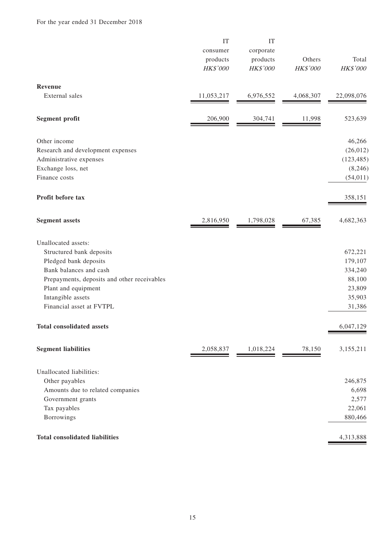|                                                                                                                                                                                                                           | IT<br>consumer<br>products<br>HK\$'000 | IT<br>corporate<br>products<br>HK\$'000 | Others<br>HK\$'000 | Total<br>HK\$'000                                                     |
|---------------------------------------------------------------------------------------------------------------------------------------------------------------------------------------------------------------------------|----------------------------------------|-----------------------------------------|--------------------|-----------------------------------------------------------------------|
| Revenue                                                                                                                                                                                                                   |                                        |                                         |                    |                                                                       |
| External sales                                                                                                                                                                                                            | 11,053,217                             | 6,976,552                               | 4,068,307          | 22,098,076                                                            |
| <b>Segment profit</b>                                                                                                                                                                                                     | 206,900                                | 304,741                                 | 11,998             | 523,639                                                               |
| Other income<br>Research and development expenses<br>Administrative expenses<br>Exchange loss, net<br>Finance costs                                                                                                       |                                        |                                         |                    | 46,266<br>(26, 012)<br>(123, 485)<br>(8,246)<br>(54, 011)             |
| Profit before tax                                                                                                                                                                                                         |                                        |                                         |                    | 358,151                                                               |
| <b>Segment assets</b>                                                                                                                                                                                                     | 2,816,950                              | 1,798,028                               | 67,385             | 4,682,363                                                             |
| Unallocated assets:<br>Structured bank deposits<br>Pledged bank deposits<br>Bank balances and cash<br>Prepayments, deposits and other receivables<br>Plant and equipment<br>Intangible assets<br>Financial asset at FVTPL |                                        |                                         |                    | 672,221<br>179,107<br>334,240<br>88,100<br>23,809<br>35,903<br>31,386 |
| <b>Total consolidated assets</b>                                                                                                                                                                                          |                                        |                                         |                    | 6,047,129                                                             |
| <b>Segment liabilities</b>                                                                                                                                                                                                | 2,058,837                              | 1,018,224                               | 78,150             | 3,155,211                                                             |
| Unallocated liabilities:<br>Other payables<br>Amounts due to related companies<br>Government grants<br>Tax payables<br>Borrowings                                                                                         |                                        |                                         |                    | 246,875<br>6,698<br>2,577<br>22,061<br>880,466                        |
| <b>Total consolidated liabilities</b>                                                                                                                                                                                     |                                        |                                         |                    | 4,313,888                                                             |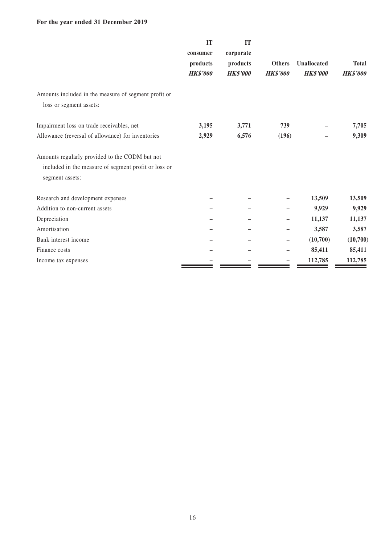#### **For the year ended 31 December 2019**

|                                                                                                                           | IT<br>consumer<br>products<br><b>HK\$'000</b> | IT<br>corporate<br>products<br><b>HK\$'000</b> | <b>Others</b><br><b>HK\$'000</b> | <b>Unallocated</b><br><b>HK\$'000</b> | <b>Total</b><br><b>HK\$'000</b> |
|---------------------------------------------------------------------------------------------------------------------------|-----------------------------------------------|------------------------------------------------|----------------------------------|---------------------------------------|---------------------------------|
| Amounts included in the measure of segment profit or<br>loss or segment assets:                                           |                                               |                                                |                                  |                                       |                                 |
| Impairment loss on trade receivables, net                                                                                 | 3,195                                         | 3,771                                          | 739                              |                                       | 7,705                           |
| Allowance (reversal of allowance) for inventories                                                                         | 2,929                                         | 6,576                                          | (196)                            |                                       | 9,309                           |
| Amounts regularly provided to the CODM but not<br>included in the measure of segment profit or loss or<br>segment assets: |                                               |                                                |                                  |                                       |                                 |
| Research and development expenses                                                                                         |                                               |                                                |                                  | 13,509                                | 13,509                          |
| Addition to non-current assets                                                                                            |                                               |                                                |                                  | 9,929                                 | 9,929                           |
| Depreciation                                                                                                              |                                               |                                                |                                  | 11,137                                | 11,137                          |
| Amortisation                                                                                                              |                                               |                                                |                                  | 3,587                                 | 3,587                           |
| Bank interest income                                                                                                      |                                               |                                                |                                  | (10,700)                              | (10,700)                        |
| Finance costs                                                                                                             |                                               |                                                |                                  | 85,411                                | 85,411                          |
| Income tax expenses                                                                                                       |                                               |                                                |                                  | 112,785                               | 112,785                         |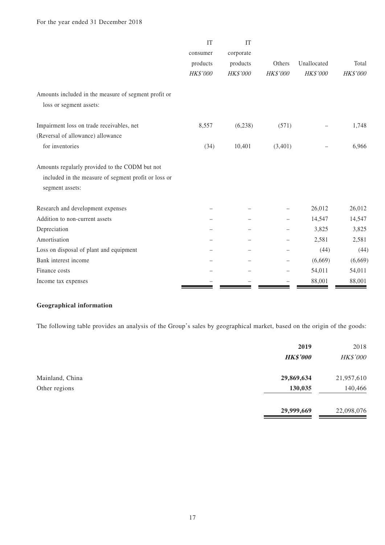| <b>IT</b> | <b>IT</b> |          |             |          |
|-----------|-----------|----------|-------------|----------|
| consumer  | corporate |          |             |          |
| products  | products  | Others   | Unallocated | Total    |
| HK\$'000  | HK\$'000  | HK\$'000 | HK\$'000    | HK\$'000 |
|           |           |          |             |          |
|           |           |          |             |          |
| 8,557     | (6,238)   | (571)    |             | 1,748    |
|           |           |          |             |          |
| (34)      | 10,401    | (3,401)  |             | 6,966    |
|           |           |          |             |          |
|           |           |          |             |          |
|           |           |          |             |          |
|           |           |          | 26,012      | 26,012   |
|           |           |          | 14,547      | 14,547   |
|           |           |          | 3,825       | 3,825    |
|           |           |          | 2,581       | 2,581    |
|           |           |          | (44)        | (44)     |
|           |           |          | (6,669)     | (6,669)  |
|           |           |          | 54,011      | 54,011   |
|           |           |          | 88,001      | 88,001   |
|           |           |          |             |          |

#### **Geographical information**

The following table provides an analysis of the Group's sales by geographical market, based on the origin of the goods:

|                 | 2019<br><b>HK\$'000</b> | 2018<br>HK\$'000 |
|-----------------|-------------------------|------------------|
| Mainland, China | 29,869,634              | 21,957,610       |
| Other regions   | 130,035                 | 140,466          |
|                 | 29,999,669              | 22,098,076       |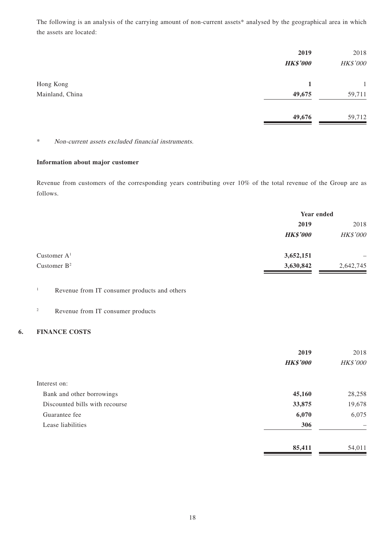The following is an analysis of the carrying amount of non-current assets\* analysed by the geographical area in which the assets are located:

|                              | 2019<br><b>HK\$'000</b> | 2018<br>HK\$'000 |
|------------------------------|-------------------------|------------------|
| Hong Kong<br>Mainland, China | 1<br>49,675             | 59,711           |
|                              | 49,676                  | 59,712           |

\* Non-current assets excluded financial instruments.

#### **Information about major customer**

Revenue from customers of the corresponding years contributing over 10% of the total revenue of the Group are as follows.

|                | Year ended      |           |
|----------------|-----------------|-----------|
|                | 2019            | 2018      |
|                | <b>HK\$'000</b> | HK\$'000  |
| Customer $A1$  | 3,652,151       |           |
| Customer $B^2$ | 3,630,842       | 2,642,745 |

#### 1 Revenue from IT consumer products and others

2 Revenue from IT consumer products

#### **6. FINANCE COSTS**

|                                | 2019            | 2018            |
|--------------------------------|-----------------|-----------------|
|                                | <b>HK\$'000</b> | <b>HK\$'000</b> |
| Interest on:                   |                 |                 |
| Bank and other borrowings      | 45,160          | 28,258          |
| Discounted bills with recourse | 33,875          | 19,678          |
| Guarantee fee                  | 6,070           | 6,075           |
| Lease liabilities              | 306             |                 |
|                                | 85,411          | 54,011          |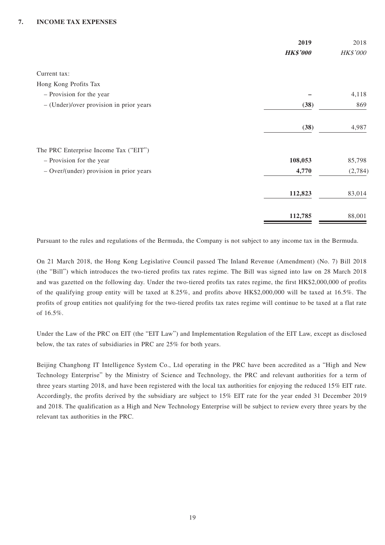#### **7. INCOME TAX EXPENSES**

|                                         | 2019            | 2018     |
|-----------------------------------------|-----------------|----------|
|                                         | <b>HK\$'000</b> | HK\$'000 |
| Current tax:                            |                 |          |
| Hong Kong Profits Tax                   |                 |          |
| - Provision for the year                |                 | 4,118    |
| - (Under)/over provision in prior years | (38)            | 869      |
|                                         | (38)            | 4,987    |
| The PRC Enterprise Income Tax ("EIT")   |                 |          |
| - Provision for the year                | 108,053         | 85,798   |
| - Over/(under) provision in prior years | 4,770           | (2,784)  |
|                                         | 112,823         | 83,014   |
|                                         | 112,785         | 88,001   |

Pursuant to the rules and regulations of the Bermuda, the Company is not subject to any income tax in the Bermuda.

On 21 March 2018, the Hong Kong Legislative Council passed The Inland Revenue (Amendment) (No. 7) Bill 2018 (the "Bill") which introduces the two-tiered profits tax rates regime. The Bill was signed into law on 28 March 2018 and was gazetted on the following day. Under the two-tiered profits tax rates regime, the first HK\$2,000,000 of profits of the qualifying group entity will be taxed at 8.25%, and profits above HK\$2,000,000 will be taxed at 16.5%. The profits of group entities not qualifying for the two-tiered profits tax rates regime will continue to be taxed at a flat rate of 16.5%.

Under the Law of the PRC on EIT (the "EIT Law") and Implementation Regulation of the EIT Law, except as disclosed below, the tax rates of subsidiaries in PRC are 25% for both years.

Beijing Changhong IT Intelligence System Co., Ltd operating in the PRC have been accredited as a "High and New Technology Enterprise" by the Ministry of Science and Technology, the PRC and relevant authorities for a term of three years starting 2018, and have been registered with the local tax authorities for enjoying the reduced 15% EIT rate. Accordingly, the profits derived by the subsidiary are subject to 15% EIT rate for the year ended 31 December 2019 and 2018. The qualification as a High and New Technology Enterprise will be subject to review every three years by the relevant tax authorities in the PRC.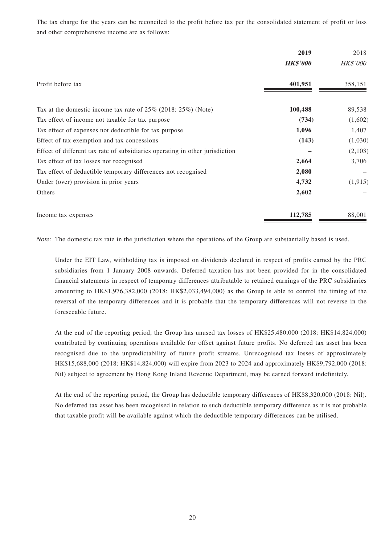The tax charge for the years can be reconciled to the profit before tax per the consolidated statement of profit or loss and other comprehensive income are as follows:

|                                                                              | 2019            | 2018            |
|------------------------------------------------------------------------------|-----------------|-----------------|
|                                                                              | <b>HK\$'000</b> | <b>HK\$'000</b> |
| Profit before tax                                                            | 401,951         | 358,151         |
| Tax at the domestic income tax rate of $25\%$ (2018: $25\%$ ) (Note)         | 100,488         | 89,538          |
| Tax effect of income not taxable for tax purpose                             | (734)           | (1,602)         |
| Tax effect of expenses not deductible for tax purpose                        | 1,096           | 1,407           |
| Effect of tax exemption and tax concessions                                  | (143)           | (1,030)         |
| Effect of different tax rate of subsidiaries operating in other jurisdiction |                 | (2,103)         |
| Tax effect of tax losses not recognised                                      | 2,664           | 3,706           |
| Tax effect of deductible temporary differences not recognised                | 2,080           |                 |
| Under (over) provision in prior years                                        | 4,732           | (1, 915)        |
| Others                                                                       | 2,602           |                 |
| Income tax expenses                                                          | 112,785         | 88,001          |

Note: The domestic tax rate in the jurisdiction where the operations of the Group are substantially based is used.

Under the EIT Law, withholding tax is imposed on dividends declared in respect of profits earned by the PRC subsidiaries from 1 January 2008 onwards. Deferred taxation has not been provided for in the consolidated financial statements in respect of temporary differences attributable to retained earnings of the PRC subsidiaries amounting to HK\$1,976,382,000 (2018: HK\$2,033,494,000) as the Group is able to control the timing of the reversal of the temporary differences and it is probable that the temporary differences will not reverse in the foreseeable future.

At the end of the reporting period, the Group has unused tax losses of HK\$25,480,000 (2018: HK\$14,824,000) contributed by continuing operations available for offset against future profits. No deferred tax asset has been recognised due to the unpredictability of future profit streams. Unrecognised tax losses of approximately HK\$15,688,000 (2018: HK\$14,824,000) will expire from 2023 to 2024 and approximately HK\$9,792,000 (2018: Nil) subject to agreement by Hong Kong Inland Revenue Department, may be earned forward indefinitely.

At the end of the reporting period, the Group has deductible temporary differences of HK\$8,320,000 (2018: Nil). No deferred tax asset has been recognised in relation to such deductible temporary difference as it is not probable that taxable profit will be available against which the deductible temporary differences can be utilised.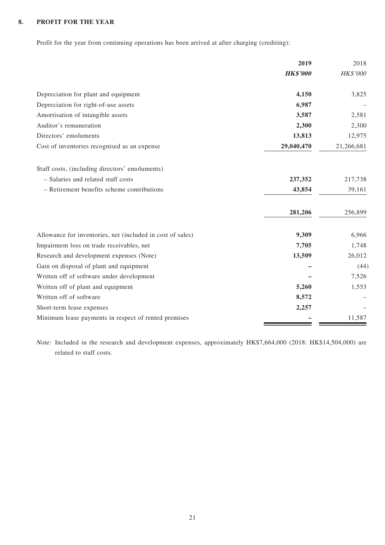#### **8. PROFIT FOR THE YEAR**

Profit for the year from continuing operations has been arrived at after charging (crediting):

|                                                            | 2019            | 2018            |
|------------------------------------------------------------|-----------------|-----------------|
|                                                            | <b>HK\$'000</b> | <b>HK\$'000</b> |
| Depreciation for plant and equipment                       | 4,150           | 3,825           |
| Depreciation for right-of-use assets                       | 6,987           |                 |
| Amortisation of intangible assets                          | 3,587           | 2,581           |
| Auditor's remuneration                                     | 2,300           | 2,300           |
| Directors' emoluments                                      | 13,813          | 12,975          |
| Cost of inventories recognised as an expense               | 29,040,470      | 21,266,681      |
| Staff costs, (including directors' emoluments)             |                 |                 |
| - Salaries and related staff costs                         | 237,352         | 217,738         |
| - Retirement benefits scheme contributions                 | 43,854          | 39,161          |
|                                                            | 281,206         | 256,899         |
| Allowance for inventories, net (included in cost of sales) | 9,309           | 6,966           |
| Impairment loss on trade receivables, net                  | 7,705           | 1,748           |
| Research and development expenses (Note)                   | 13,509          | 26,012          |
| Gain on disposal of plant and equipment                    |                 | (44)            |
| Written off of software under development                  |                 | 7,526           |
| Written off of plant and equipment                         | 5,260           | 1,553           |
| Written off of software                                    | 8,572           |                 |
| Short-term lease expenses                                  | 2,257           |                 |
| Minimum lease payments in respect of rented premises       |                 | 11,587          |

Note: Included in the research and development expenses, approximately HK\$7,664,000 (2018: HK\$14,504,000) are related to staff costs.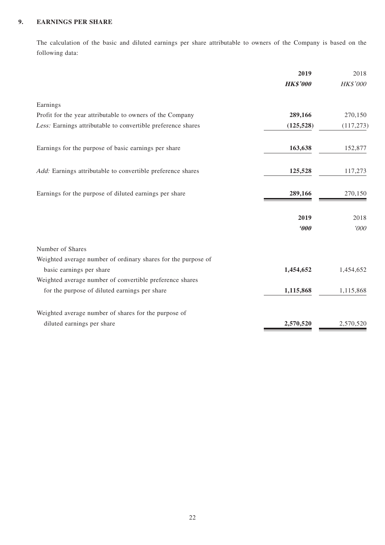#### **9. EARNINGS PER SHARE**

The calculation of the basic and diluted earnings per share attributable to owners of the Company is based on the following data:

|                                                               | 2019                  | 2018       |
|---------------------------------------------------------------|-----------------------|------------|
|                                                               | <b>HK\$'000</b>       | HK\$'000   |
| Earnings                                                      |                       |            |
| Profit for the year attributable to owners of the Company     | 289,166               | 270,150    |
| Less: Earnings attributable to convertible preference shares  | (125, 528)            | (117, 273) |
| Earnings for the purpose of basic earnings per share          | 163,638               | 152,877    |
| Add: Earnings attributable to convertible preference shares   | 125,528               | 117,273    |
| Earnings for the purpose of diluted earnings per share        | 289,166               | 270,150    |
|                                                               | 2019                  | 2018       |
|                                                               | $\boldsymbol{\theta}$ | 000'       |
| Number of Shares                                              |                       |            |
| Weighted average number of ordinary shares for the purpose of |                       |            |
| basic earnings per share                                      | 1,454,652             | 1,454,652  |
| Weighted average number of convertible preference shares      |                       |            |
| for the purpose of diluted earnings per share                 | 1,115,868             | 1,115,868  |
| Weighted average number of shares for the purpose of          |                       |            |
| diluted earnings per share                                    | 2,570,520             | 2,570,520  |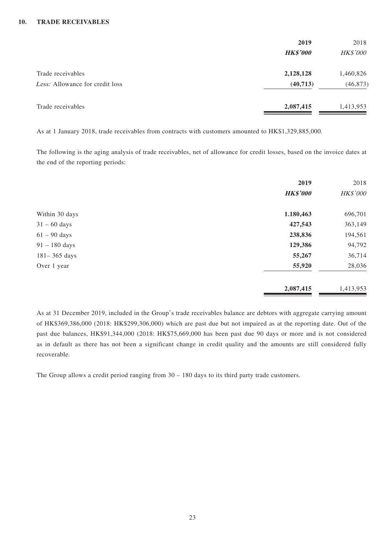#### **10. TRADE RECEIVABLES**

|                                 | 2019            | 2018            |
|---------------------------------|-----------------|-----------------|
|                                 | <b>HK\$'000</b> | <b>HK\$'000</b> |
| Trade receivables               | 2,128,128       | 1,460,826       |
| Less: Allowance for credit loss | (40, 713)       | (46, 873)       |
| Trade receivables               | 2,087,415       | 1,413,953       |

As at 1 January 2018, trade receivables from contracts with customers amounted to HK\$1,329,885,000.

The following is the aging analysis of trade receivables, net of allowance for credit losses, based on the invoice dates at the end of the reporting periods:

|                  | 2019            | 2018      |
|------------------|-----------------|-----------|
|                  | <b>HK\$'000</b> | HK\$'000  |
| Within 30 days   | 1.180,463       | 696,701   |
| $31 - 60$ days   | 427,543         | 363,149   |
| $61 - 90$ days   | 238,836         | 194,561   |
| $91 - 180$ days  | 129,386         | 94,792    |
| $181 - 365$ days | 55,267          | 36,714    |
| Over 1 year      | 55,920          | 28,036    |
|                  | 2,087,415       | 1,413,953 |

As at 31 December 2019, included in the Group's trade receivables balance are debtors with aggregate carrying amount of HK\$369,386,000 (2018: HK\$299,306,000) which are past due but not impaired as at the reporting date. Out of the past due balances, HK\$91,344,000 (2018: HK\$75,669,000 has been past due 90 days or more and is not considered as in default as there has not been a significant change in credit quality and the amounts are still considered fully recoverable.

The Group allows a credit period ranging from 30 – 180 days to its third party trade customers.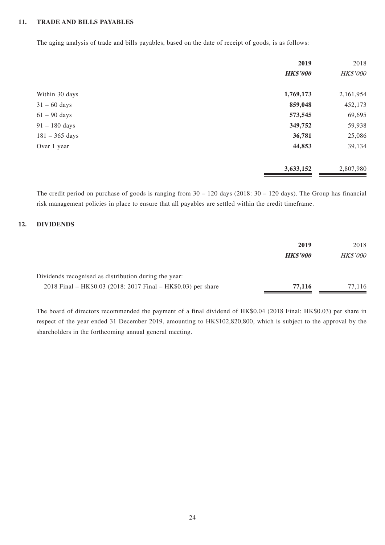#### **11. TRADE AND BILLS PAYABLES**

The aging analysis of trade and bills payables, based on the date of receipt of goods, is as follows:

|                  | 2019            | 2018      |
|------------------|-----------------|-----------|
|                  | <b>HK\$'000</b> | HK\$'000  |
| Within 30 days   | 1,769,173       | 2,161,954 |
| $31 - 60$ days   | 859,048         | 452,173   |
| $61 - 90$ days   | 573,545         | 69,695    |
| $91 - 180$ days  | 349,752         | 59,938    |
| $181 - 365$ days | 36,781          | 25,086    |
| Over 1 year      | 44,853          | 39,134    |
|                  | 3,633,152       | 2,807,980 |

The credit period on purchase of goods is ranging from 30 – 120 days (2018: 30 – 120 days). The Group has financial risk management policies in place to ensure that all payables are settled within the credit timeframe.

#### **12. DIVIDENDS**

|                                                               | 2019            | 2018            |
|---------------------------------------------------------------|-----------------|-----------------|
|                                                               | <b>HK\$'000</b> | <b>HK\$'000</b> |
| Dividends recognised as distribution during the year:         |                 |                 |
| 2018 Final – HK\$0.03 (2018: 2017 Final – HK\$0.03) per share | 77,116          | 77.116          |

The board of directors recommended the payment of a final dividend of HK\$0.04 (2018 Final: HK\$0.03) per share in respect of the year ended 31 December 2019, amounting to HK\$102,820,800, which is subject to the approval by the shareholders in the forthcoming annual general meeting.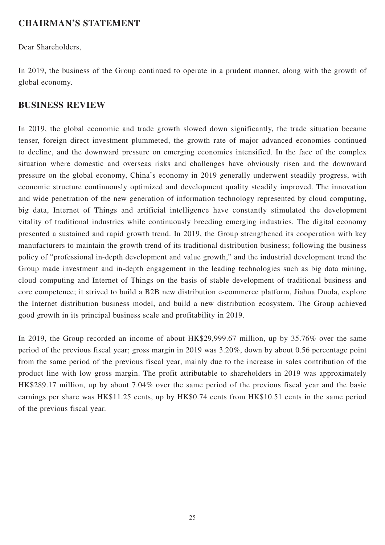### **CHAIRMAN'S STATEMENT**

Dear Shareholders,

In 2019, the business of the Group continued to operate in a prudent manner, along with the growth of global economy.

### **BUSINESS REVIEW**

In 2019, the global economic and trade growth slowed down significantly, the trade situation became tenser, foreign direct investment plummeted, the growth rate of major advanced economies continued to decline, and the downward pressure on emerging economies intensified. In the face of the complex situation where domestic and overseas risks and challenges have obviously risen and the downward pressure on the global economy, China's economy in 2019 generally underwent steadily progress, with economic structure continuously optimized and development quality steadily improved. The innovation and wide penetration of the new generation of information technology represented by cloud computing, big data, Internet of Things and artificial intelligence have constantly stimulated the development vitality of traditional industries while continuously breeding emerging industries. The digital economy presented a sustained and rapid growth trend. In 2019, the Group strengthened its cooperation with key manufacturers to maintain the growth trend of its traditional distribution business; following the business policy of "professional in-depth development and value growth," and the industrial development trend the Group made investment and in-depth engagement in the leading technologies such as big data mining, cloud computing and Internet of Things on the basis of stable development of traditional business and core competence; it strived to build a B2B new distribution e-commerce platform, Jiahua Duola, explore the Internet distribution business model, and build a new distribution ecosystem. The Group achieved good growth in its principal business scale and profitability in 2019.

In 2019, the Group recorded an income of about HK\$29,999.67 million, up by 35.76% over the same period of the previous fiscal year; gross margin in 2019 was 3.20%, down by about 0.56 percentage point from the same period of the previous fiscal year, mainly due to the increase in sales contribution of the product line with low gross margin. The profit attributable to shareholders in 2019 was approximately HK\$289.17 million, up by about 7.04% over the same period of the previous fiscal year and the basic earnings per share was HK\$11.25 cents, up by HK\$0.74 cents from HK\$10.51 cents in the same period of the previous fiscal year.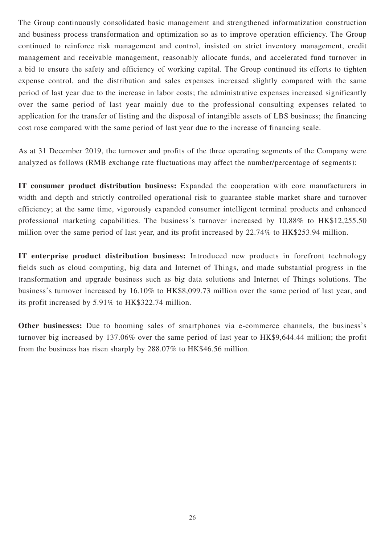The Group continuously consolidated basic management and strengthened informatization construction and business process transformation and optimization so as to improve operation efficiency. The Group continued to reinforce risk management and control, insisted on strict inventory management, credit management and receivable management, reasonably allocate funds, and accelerated fund turnover in a bid to ensure the safety and efficiency of working capital. The Group continued its efforts to tighten expense control, and the distribution and sales expenses increased slightly compared with the same period of last year due to the increase in labor costs; the administrative expenses increased significantly over the same period of last year mainly due to the professional consulting expenses related to application for the transfer of listing and the disposal of intangible assets of LBS business; the financing cost rose compared with the same period of last year due to the increase of financing scale.

As at 31 December 2019, the turnover and profits of the three operating segments of the Company were analyzed as follows (RMB exchange rate fluctuations may affect the number/percentage of segments):

**IT consumer product distribution business:** Expanded the cooperation with core manufacturers in width and depth and strictly controlled operational risk to guarantee stable market share and turnover efficiency; at the same time, vigorously expanded consumer intelligent terminal products and enhanced professional marketing capabilities. The business's turnover increased by 10.88% to HK\$12,255.50 million over the same period of last year, and its profit increased by 22.74% to HK\$253.94 million.

**IT enterprise product distribution business:** Introduced new products in forefront technology fields such as cloud computing, big data and Internet of Things, and made substantial progress in the transformation and upgrade business such as big data solutions and Internet of Things solutions. The business's turnover increased by 16.10% to HK\$8,099.73 million over the same period of last year, and its profit increased by 5.91% to HK\$322.74 million.

**Other businesses:** Due to booming sales of smartphones via e-commerce channels, the business's turnover big increased by 137.06% over the same period of last year to HK\$9,644.44 million; the profit from the business has risen sharply by 288.07% to HK\$46.56 million.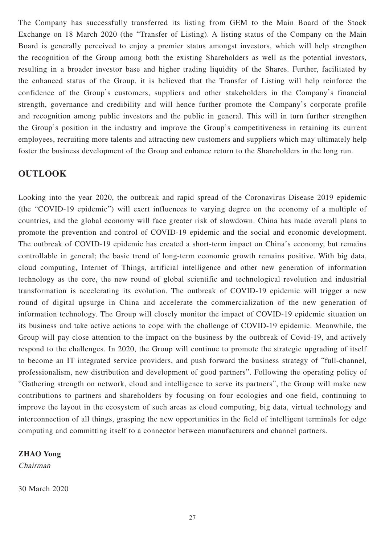The Company has successfully transferred its listing from GEM to the Main Board of the Stock Exchange on 18 March 2020 (the "Transfer of Listing). A listing status of the Company on the Main Board is generally perceived to enjoy a premier status amongst investors, which will help strengthen the recognition of the Group among both the existing Shareholders as well as the potential investors, resulting in a broader investor base and higher trading liquidity of the Shares. Further, facilitated by the enhanced status of the Group, it is believed that the Transfer of Listing will help reinforce the confidence of the Group's customers, suppliers and other stakeholders in the Company's financial strength, governance and credibility and will hence further promote the Company's corporate profile and recognition among public investors and the public in general. This will in turn further strengthen the Group's position in the industry and improve the Group's competitiveness in retaining its current employees, recruiting more talents and attracting new customers and suppliers which may ultimately help foster the business development of the Group and enhance return to the Shareholders in the long run.

### **OUTLOOK**

Looking into the year 2020, the outbreak and rapid spread of the Coronavirus Disease 2019 epidemic (the "COVID-19 epidemic") will exert influences to varying degree on the economy of a multiple of countries, and the global economy will face greater risk of slowdown. China has made overall plans to promote the prevention and control of COVID-19 epidemic and the social and economic development. The outbreak of COVID-19 epidemic has created a short-term impact on China's economy, but remains controllable in general; the basic trend of long-term economic growth remains positive. With big data, cloud computing, Internet of Things, artificial intelligence and other new generation of information technology as the core, the new round of global scientific and technological revolution and industrial transformation is accelerating its evolution. The outbreak of COVID-19 epidemic will trigger a new round of digital upsurge in China and accelerate the commercialization of the new generation of information technology. The Group will closely monitor the impact of COVID-19 epidemic situation on its business and take active actions to cope with the challenge of COVID-19 epidemic. Meanwhile, the Group will pay close attention to the impact on the business by the outbreak of Covid-19, and actively respond to the challenges. In 2020, the Group will continue to promote the strategic upgrading of itself to become an IT integrated service providers, and push forward the business strategy of "full-channel, professionalism, new distribution and development of good partners". Following the operating policy of "Gathering strength on network, cloud and intelligence to serve its partners", the Group will make new contributions to partners and shareholders by focusing on four ecologies and one field, continuing to improve the layout in the ecosystem of such areas as cloud computing, big data, virtual technology and interconnection of all things, grasping the new opportunities in the field of intelligent terminals for edge computing and committing itself to a connector between manufacturers and channel partners.

### **ZHAO Yong**

Chairman

30 March 2020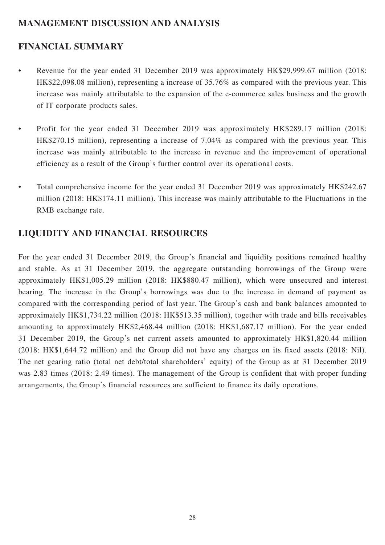### **MANAGEMENT DISCUSSION AND ANALYSIS**

# **FINANCIAL SUMMARY**

- Revenue for the year ended 31 December 2019 was approximately HK\$29,999.67 million (2018: HK\$22,098.08 million), representing a increase of 35.76% as compared with the previous year. This increase was mainly attributable to the expansion of the e-commerce sales business and the growth of IT corporate products sales.
- Profit for the year ended 31 December 2019 was approximately HK\$289.17 million (2018: HK\$270.15 million), representing a increase of 7.04% as compared with the previous year. This increase was mainly attributable to the increase in revenue and the improvement of operational efficiency as a result of the Group's further control over its operational costs.
- Total comprehensive income for the year ended 31 December 2019 was approximately HK\$242.67 million (2018: HK\$174.11 million). This increase was mainly attributable to the Fluctuations in the RMB exchange rate.

## **LIQUIDITY AND FINANCIAL RESOURCES**

For the year ended 31 December 2019, the Group's financial and liquidity positions remained healthy and stable. As at 31 December 2019, the aggregate outstanding borrowings of the Group were approximately HK\$1,005.29 million (2018: HK\$880.47 million), which were unsecured and interest bearing. The increase in the Group's borrowings was due to the increase in demand of payment as compared with the corresponding period of last year. The Group's cash and bank balances amounted to approximately HK\$1,734.22 million (2018: HK\$513.35 million), together with trade and bills receivables amounting to approximately HK\$2,468.44 million (2018: HK\$1,687.17 million). For the year ended 31 December 2019, the Group's net current assets amounted to approximately HK\$1,820.44 million (2018: HK\$1,644.72 million) and the Group did not have any charges on its fixed assets (2018: Nil). The net gearing ratio (total net debt/total shareholders' equity) of the Group as at 31 December 2019 was 2.83 times (2018: 2.49 times). The management of the Group is confident that with proper funding arrangements, the Group's financial resources are sufficient to finance its daily operations.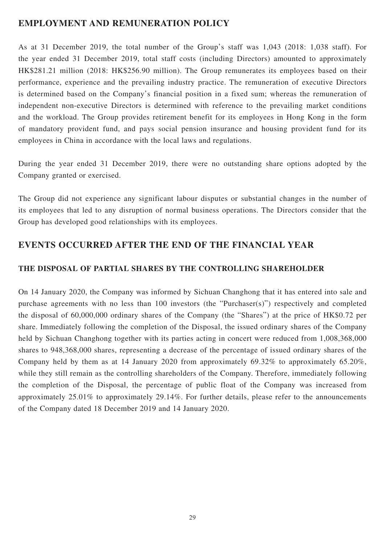### **EMPLOYMENT AND REMUNERATION POLICY**

As at 31 December 2019, the total number of the Group's staff was 1,043 (2018: 1,038 staff). For the year ended 31 December 2019, total staff costs (including Directors) amounted to approximately HK\$281.21 million (2018: HK\$256.90 million). The Group remunerates its employees based on their performance, experience and the prevailing industry practice. The remuneration of executive Directors is determined based on the Company's financial position in a fixed sum; whereas the remuneration of independent non-executive Directors is determined with reference to the prevailing market conditions and the workload. The Group provides retirement benefit for its employees in Hong Kong in the form of mandatory provident fund, and pays social pension insurance and housing provident fund for its employees in China in accordance with the local laws and regulations.

During the year ended 31 December 2019, there were no outstanding share options adopted by the Company granted or exercised.

The Group did not experience any significant labour disputes or substantial changes in the number of its employees that led to any disruption of normal business operations. The Directors consider that the Group has developed good relationships with its employees.

### **EVENTS OCCURRED AFTER THE END OF THE FINANCIAL YEAR**

### **THE DISPOSAL OF PARTIAL SHARES BY THE CONTROLLING SHAREHOLDER**

On 14 January 2020, the Company was informed by Sichuan Changhong that it has entered into sale and purchase agreements with no less than 100 investors (the "Purchaser(s)") respectively and completed the disposal of 60,000,000 ordinary shares of the Company (the "Shares") at the price of HK\$0.72 per share. Immediately following the completion of the Disposal, the issued ordinary shares of the Company held by Sichuan Changhong together with its parties acting in concert were reduced from 1,008,368,000 shares to 948,368,000 shares, representing a decrease of the percentage of issued ordinary shares of the Company held by them as at 14 January 2020 from approximately 69.32% to approximately 65.20%, while they still remain as the controlling shareholders of the Company. Therefore, immediately following the completion of the Disposal, the percentage of public float of the Company was increased from approximately 25.01% to approximately 29.14%. For further details, please refer to the announcements of the Company dated 18 December 2019 and 14 January 2020.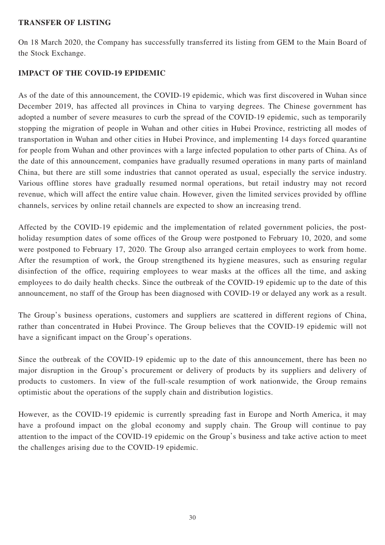### **TRANSFER OF LISTING**

On 18 March 2020, the Company has successfully transferred its listing from GEM to the Main Board of the Stock Exchange.

### **IMPACT OF THE COVID-19 EPIDEMIC**

As of the date of this announcement, the COVID-19 epidemic, which was first discovered in Wuhan since December 2019, has affected all provinces in China to varying degrees. The Chinese government has adopted a number of severe measures to curb the spread of the COVID-19 epidemic, such as temporarily stopping the migration of people in Wuhan and other cities in Hubei Province, restricting all modes of transportation in Wuhan and other cities in Hubei Province, and implementing 14 days forced quarantine for people from Wuhan and other provinces with a large infected population to other parts of China. As of the date of this announcement, companies have gradually resumed operations in many parts of mainland China, but there are still some industries that cannot operated as usual, especially the service industry. Various offline stores have gradually resumed normal operations, but retail industry may not record revenue, which will affect the entire value chain. However, given the limited services provided by offline channels, services by online retail channels are expected to show an increasing trend.

Affected by the COVID-19 epidemic and the implementation of related government policies, the postholiday resumption dates of some offices of the Group were postponed to February 10, 2020, and some were postponed to February 17, 2020. The Group also arranged certain employees to work from home. After the resumption of work, the Group strengthened its hygiene measures, such as ensuring regular disinfection of the office, requiring employees to wear masks at the offices all the time, and asking employees to do daily health checks. Since the outbreak of the COVID-19 epidemic up to the date of this announcement, no staff of the Group has been diagnosed with COVID-19 or delayed any work as a result.

The Group's business operations, customers and suppliers are scattered in different regions of China, rather than concentrated in Hubei Province. The Group believes that the COVID-19 epidemic will not have a significant impact on the Group's operations.

Since the outbreak of the COVID-19 epidemic up to the date of this announcement, there has been no major disruption in the Group's procurement or delivery of products by its suppliers and delivery of products to customers. In view of the full-scale resumption of work nationwide, the Group remains optimistic about the operations of the supply chain and distribution logistics.

However, as the COVID-19 epidemic is currently spreading fast in Europe and North America, it may have a profound impact on the global economy and supply chain. The Group will continue to pay attention to the impact of the COVID-19 epidemic on the Group's business and take active action to meet the challenges arising due to the COVID-19 epidemic.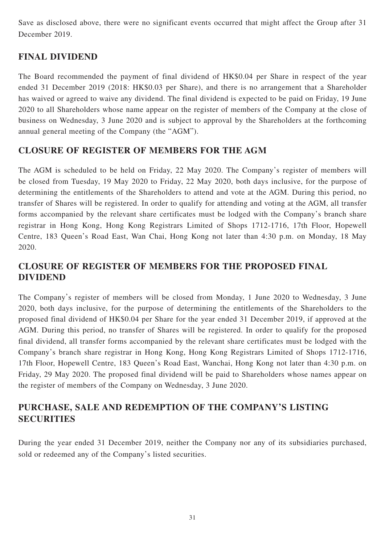Save as disclosed above, there were no significant events occurred that might affect the Group after 31 December 2019.

# **FINAL DIVIDEND**

The Board recommended the payment of final dividend of HK\$0.04 per Share in respect of the year ended 31 December 2019 (2018: HK\$0.03 per Share), and there is no arrangement that a Shareholder has waived or agreed to waive any dividend. The final dividend is expected to be paid on Friday, 19 June 2020 to all Shareholders whose name appear on the register of members of the Company at the close of business on Wednesday, 3 June 2020 and is subject to approval by the Shareholders at the forthcoming annual general meeting of the Company (the "AGM").

### **CLOSURE OF REGISTER OF MEMBERS FOR THE AGM**

The AGM is scheduled to be held on Friday, 22 May 2020. The Company's register of members will be closed from Tuesday, 19 May 2020 to Friday, 22 May 2020, both days inclusive, for the purpose of determining the entitlements of the Shareholders to attend and vote at the AGM. During this period, no transfer of Shares will be registered. In order to qualify for attending and voting at the AGM, all transfer forms accompanied by the relevant share certificates must be lodged with the Company's branch share registrar in Hong Kong, Hong Kong Registrars Limited of Shops 1712-1716, 17th Floor, Hopewell Centre, 183 Queen's Road East, Wan Chai, Hong Kong not later than 4:30 p.m. on Monday, 18 May 2020.

# **CLOSURE OF REGISTER OF MEMBERS FOR THE PROPOSED FINAL DIVIDEND**

The Company's register of members will be closed from Monday, 1 June 2020 to Wednesday, 3 June 2020, both days inclusive, for the purpose of determining the entitlements of the Shareholders to the proposed final dividend of HK\$0.04 per Share for the year ended 31 December 2019, if approved at the AGM. During this period, no transfer of Shares will be registered. In order to qualify for the proposed final dividend, all transfer forms accompanied by the relevant share certificates must be lodged with the Company's branch share registrar in Hong Kong, Hong Kong Registrars Limited of Shops 1712-1716, 17th Floor, Hopewell Centre, 183 Queen's Road East, Wanchai, Hong Kong not later than 4:30 p.m. on Friday, 29 May 2020. The proposed final dividend will be paid to Shareholders whose names appear on the register of members of the Company on Wednesday, 3 June 2020.

## **PURCHASE, SALE AND REDEMPTION OF THE COMPANY'S LISTING SECURITIES**

During the year ended 31 December 2019, neither the Company nor any of its subsidiaries purchased, sold or redeemed any of the Company's listed securities.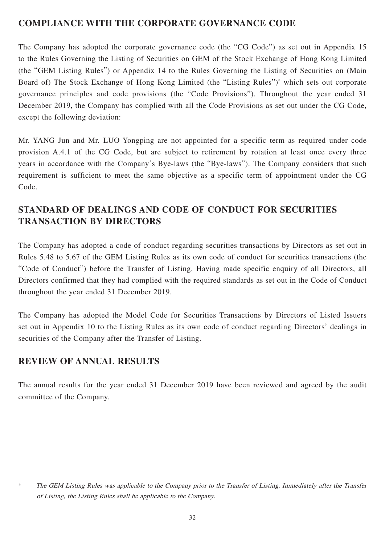## **COMPLIANCE WITH THE CORPORATE GOVERNANCE CODE**

The Company has adopted the corporate governance code (the "CG Code") as set out in Appendix 15 to the Rules Governing the Listing of Securities on GEM of the Stock Exchange of Hong Kong Limited (the "GEM Listing Rules") or Appendix 14 to the Rules Governing the Listing of Securities on (Main Board of) The Stock Exchange of Hong Kong Limited (the "Listing Rules")<sup>\*</sup> which sets out corporate governance principles and code provisions (the "Code Provisions"). Throughout the year ended 31 December 2019, the Company has complied with all the Code Provisions as set out under the CG Code, except the following deviation:

Mr. YANG Jun and Mr. LUO Yongping are not appointed for a specific term as required under code provision A.4.1 of the CG Code, but are subject to retirement by rotation at least once every three years in accordance with the Company's Bye-laws (the "Bye-laws"). The Company considers that such requirement is sufficient to meet the same objective as a specific term of appointment under the CG Code.

# **STANDARD OF DEALINGS AND CODE OF CONDUCT FOR SECURITIES TRANSACTION BY DIRECTORS**

The Company has adopted a code of conduct regarding securities transactions by Directors as set out in Rules 5.48 to 5.67 of the GEM Listing Rules as its own code of conduct for securities transactions (the "Code of Conduct") before the Transfer of Listing. Having made specific enquiry of all Directors, all Directors confirmed that they had complied with the required standards as set out in the Code of Conduct throughout the year ended 31 December 2019.

The Company has adopted the Model Code for Securities Transactions by Directors of Listed Issuers set out in Appendix 10 to the Listing Rules as its own code of conduct regarding Directors' dealings in securities of the Company after the Transfer of Listing.

### **REVIEW OF ANNUAL RESULTS**

The annual results for the year ended 31 December 2019 have been reviewed and agreed by the audit committee of the Company.

<sup>\*</sup> The GEM Listing Rules was applicable to the Company prior to the Transfer of Listing. Immediately after the Transfer of Listing, the Listing Rules shall be applicable to the Company.